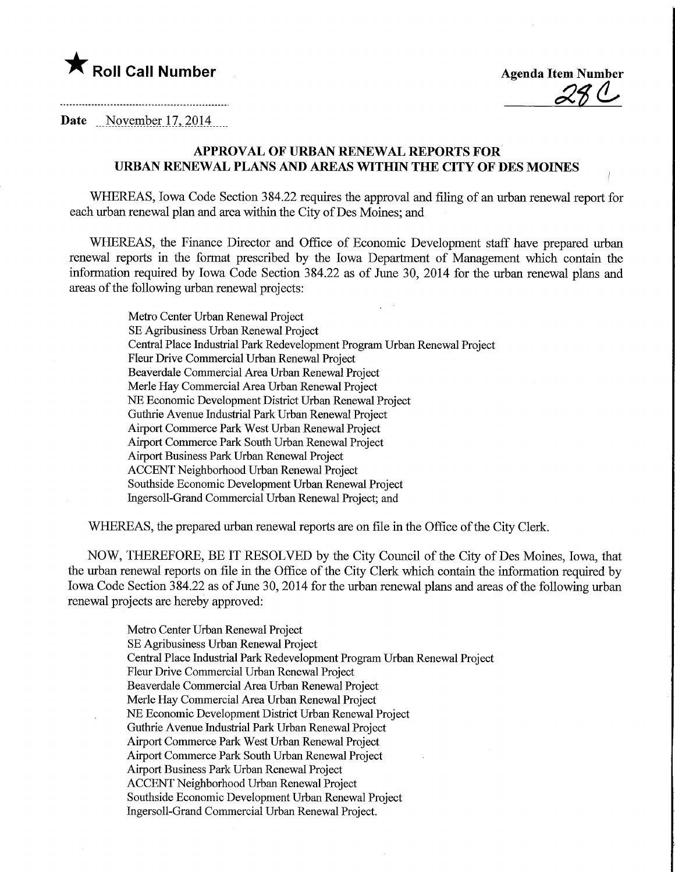

**Agenda Item Number** 

Date November 17, 2014

## APPROVAL OF URBAN RENEWAL REPORTS FOR URBAN RENEWAL PLANS AND AREAS WITHIN THE CITY OF DES MOINES

WHEREAS, Iowa Code Section 384.22 requires the approval and filing of an urban renewal report for each urban renewal plan and area within the City of Des Moines; and

WHEREAS, the Finance Director and Office of Economic Development staff have prepared urban renewal reports in the format prescribed by the Iowa Department of Management which contain the information required by Iowa Code Section 384.22 as of June 30, 2014 for the urban renewal plans and areas of the following urban renewal projects:

Metro Center Urban Renewal Project SE Agribusiness Urban Renewal Project Central Place Industrial Park Redevelopment Program Urban Renewal Project Fleur Drive Commercial Urban Renewal Project Beaverdale Commercial Area Urban Renewal Project Merle Hay Commercial Area Urban Renewal Project NE Economic Development District Urban Renewal Project Guthrie Avenue Industrial Park Urban Renewal Project Airport Commerce Park West Urban Renewal Project Airport Commerce Park South Urban Renewal Project Airport Business Park Urban Renewal Project ACCENT Neighborhood Urban Renewal Project Southside Economic Development Urban Renewal Project Ingersoll-Grand Commercial Urban Renewal Project; and

WHEREAS, the prepared urban renewal reports are on file in the Office of the City Clerk.

NOW, THEREFORE, BE IT RESOLVED by the City Council of the City of Des Moines, Iowa, that the urban renewal reports on file in the Office of the City Clerk which contain the information required by Iowa Code Section 384.22 as of June 30,2014 for the urban renewal plans and areas of the following urban renewal projects are hereby approved:

> Metro Center Urban Renewal Project SE Agribusiness Urban Renewal Project Central Place Industrial Park Redevelopment Program Urban Renewal Project Fleur Drive Commercial Urban Renewal Project Beaverdale Commercial Area Urban Renewal Project Merle Hay Commercial Area Urban Renewal Project NE Economic Development District Urban Renewal Project Guthrie Avenue Industrial Park Urban Renewal Project Airport Commerce Park West Urban Renewal Project Airport Commerce Park South Urban Renewal Project Airport Business Park Urban Renewal Project ACCENT Neighborhood Urban Renewal Project Southside Economic Development Urban Renewal Project Ingersoll-Grand Commercial Urban Renewal Project.